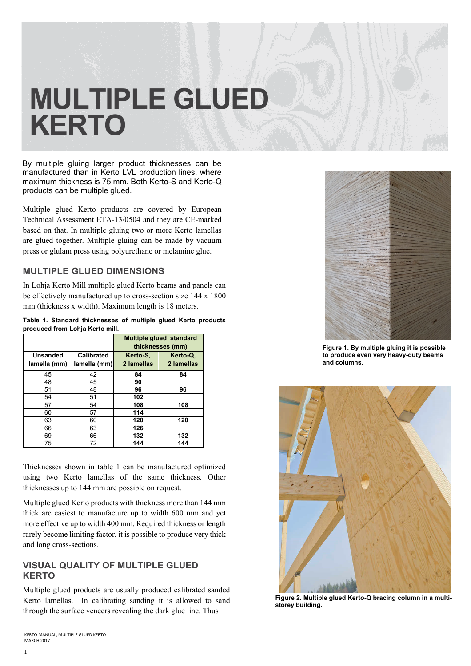# **MULTIPLE GLUED KERTO**

By multiple gluing larger product thicknesses can be manufactured than in Kerto LVL production lines, where maximum thickness is 75 mm. Both Kerto-S and Kerto-Q products can be multiple glued.

Multiple glued Kerto products are covered by European Technical Assessment ETA-13/0504 and they are CE-marked based on that. In multiple gluing two or more Kerto lamellas are glued together. Multiple gluing can be made by vacuum press or glulam press using polyurethane or melamine glue.

### **MULTIPLE GLUED DIMENSIONS**

In Lohja Kerto Mill multiple glued Kerto beams and panels can be effectively manufactured up to cross-section size 144 x 1800 mm (thickness x width). Maximum length is 18 meters.

**Table 1. Standard thicknesses of multiple glued Kerto products produced from Lohja Kerto mill.** 

|                                 |                                   | Multiple glued standard<br>thicknesses (mm) |                        |  |
|---------------------------------|-----------------------------------|---------------------------------------------|------------------------|--|
| <b>Unsanded</b><br>lamella (mm) | <b>Calibrated</b><br>lamella (mm) | Kerto-S,<br>2 lamellas                      | Kerto-Q.<br>2 lamellas |  |
| 45                              | 42                                | 84                                          | 84                     |  |
| 48                              | 45                                | 90                                          |                        |  |
| 51                              | 48                                | 96                                          | 96                     |  |
| 54                              | 51                                | 102                                         |                        |  |
| 57                              | 54                                | 108                                         | 108                    |  |
| 60                              | 57                                | 114                                         |                        |  |
| 63                              | 60                                | 120                                         | 120                    |  |
| 66                              | 63                                | 126                                         |                        |  |
| 69                              | 66                                | 132                                         | 132                    |  |
| 75                              | 72                                | 144                                         | 144                    |  |

Thicknesses shown in table 1 can be manufactured optimized using two Kerto lamellas of the same thickness. Other thicknesses up to 144 mm are possible on request.

Multiple glued Kerto products with thickness more than 144 mm thick are easiest to manufacture up to width 600 mm and yet more effective up to width 400 mm. Required thickness or length rarely become limiting factor, it is possible to produce very thick and long cross-sections.

### **VISUAL QUALITY OF MULTIPLE GLUED KERTO**

Multiple glued products are usually produced calibrated sanded Kerto lamellas. In calibrating sanding it is allowed to sand through the surface veneers revealing the dark glue line. Thus

\_ \_ \_ \_ \_ \_ \_ \_ \_ \_ \_ \_ \_ \_ \_ \_ \_ \_ \_ \_ \_ \_ \_ \_ \_ \_ \_ \_ \_ \_ \_ \_ \_ \_ \_ \_ \_ \_ \_ \_ \_ \_ \_ \_ \_ \_ \_ \_ \_ \_ \_ \_ \_ \_ \_ \_ \_ \_ \_ \_ \_ \_ \_ \_ \_ \_ \_ \_ \_



**Figure 1. By multiple gluing it is possible to produce even very heavy-duty beams and columns.** 



**Figure 2. Multiple glued Kerto-Q bracing column in a multistorey building.**

KERTO MANUAL, MULTIPLE GLUED KERTO MARCH 2017